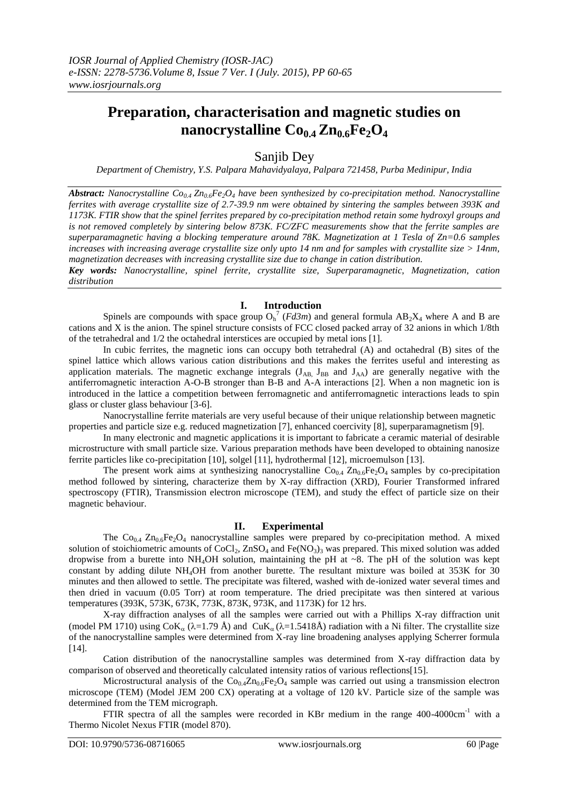# **Preparation, characterisation and magnetic studies on nanocrystalline**  $Co<sub>0.4</sub> Zn<sub>0.6</sub> Fe<sub>2</sub> O<sub>4</sub>$

Sanjib Dey

*Department of Chemistry, Y.S. Palpara Mahavidyalaya, Palpara 721458, Purba Medinipur, India*

*Abstract: Nanocrystalline Co0.4 Zn0.6Fe2O<sup>4</sup> have been synthesized by co-precipitation method. Nanocrystalline ferrites with average crystallite size of 2.7-39.9 nm were obtained by sintering the samples between 393K and 1173K. FTIR show that the spinel ferrites prepared by co-precipitation method retain some hydroxyl groups and is not removed completely by sintering below 873K. FC/ZFC measurements show that the ferrite samples are superparamagnetic having a blocking temperature around 78K. Magnetization at 1 Tesla of Zn=0.6 samples increases with increasing average crystallite size only upto 14 nm and for samples with crystallite size > 14nm, magnetization decreases with increasing crystallite size due to change in cation distribution. Key words: Nanocrystalline, spinel ferrite, crystallite size, Superparamagnetic, Magnetization, cation* 

*distribution*

## **I. Introduction**

Spinels are compounds with space group  $O_h^7$  (*Fd3m*) and general formula  $AB_2X_4$  where A and B are cations and X is the anion. The spinel structure consists of FCC closed packed array of 32 anions in which 1/8th of the tetrahedral and 1/2 the octahedral interstices are occupied by metal ions [1].

In cubic ferrites, the magnetic ions can occupy both tetrahedral (A) and octahedral (B) sites of the spinel lattice which allows various cation distributions and this makes the ferrites useful and interesting as application materials. The magnetic exchange integrals  $(J_{AB,} J_{BB}$  and  $J_{AA}$ ) are generally negative with the antiferromagnetic interaction A-O-B stronger than B-B and A-A interactions [2]. When a non magnetic ion is introduced in the lattice a competition between ferromagnetic and antiferromagnetic interactions leads to spin glass or cluster glass behaviour [3-6].

Nanocrystalline ferrite materials are very useful because of their unique relationship between magnetic properties and particle size e.g. reduced magnetization [7], enhanced coercivity [8], superparamagnetism [9].

In many electronic and magnetic applications it is important to fabricate a ceramic material of desirable microstructure with small particle size. Various preparation methods have been developed to obtaining nanosize ferrite particles like co-precipitation [10], solgel [11], hydrothermal [12], microemulson [13].

The present work aims at synthesizing nanocrystalline  $Co_{0.4} Zn_{0.6}Fe_2O_4$  samples by co-precipitation method followed by sintering, characterize them by X-ray diffraction (XRD), Fourier Transformed infrared spectroscopy (FTIR), Transmission electron microscope (TEM), and study the effect of particle size on their magnetic behaviour.

## **II. Experimental**

The  $Co<sub>0.4</sub> Zn<sub>0.6</sub> Fe<sub>2</sub>O<sub>4</sub>$  nanocrystalline samples were prepared by co-precipitation method. A mixed solution of stoichiometric amounts of CoCl<sub>2</sub>, ZnSO<sub>4</sub> and Fe(NO<sub>3</sub>)<sub>3</sub> was prepared. This mixed solution was added dropwise from a burette into  $NH_4OH$  solution, maintaining the pH at  $\sim$ 8. The pH of the solution was kept constant by adding dilute NH4OH from another burette. The resultant mixture was boiled at 353K for 30 minutes and then allowed to settle. The precipitate was filtered, washed with de-ionized water several times and then dried in vacuum (0.05 Torr) at room temperature. The dried precipitate was then sintered at various temperatures (393K, 573K, 673K, 773K, 873K, 973K, and 1173K) for 12 hrs.

X-ray diffraction analyses of all the samples were carried out with a Phillips X-ray diffraction unit (model PM 1710) using  $CoK_\alpha$  ( $\lambda$ =1.79 Å) and  $CuK_\alpha$  ( $\lambda$ =1.5418Å) radiation with a Ni filter. The crystallite size of the nanocrystalline samples were determined from X-ray line broadening analyses applying Scherrer formula [14].

Cation distribution of the nanocrystalline samples was determined from X-ray diffraction data by comparison of observed and theoretically calculated intensity ratios of various reflections[15].

Microstructural analysis of the  $Co_{0.4}Zn_{0.6}Fe_2O_4$  sample was carried out using a transmission electron microscope (TEM) (Model JEM 200 CX) operating at a voltage of 120 kV. Particle size of the sample was determined from the TEM micrograph.

FTIR spectra of all the samples were recorded in KBr medium in the range 400-4000cm<sup>-1</sup> with a Thermo Nicolet Nexus FTIR (model 870).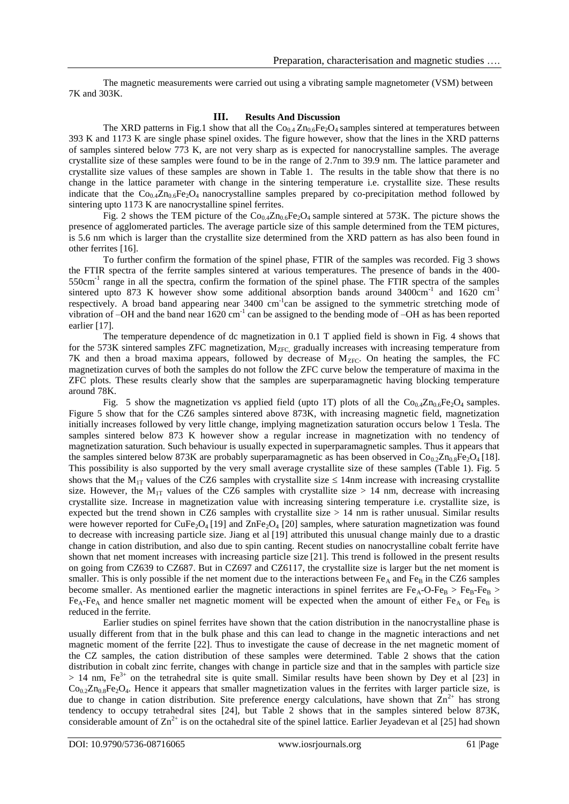The magnetic measurements were carried out using a vibrating sample magnetometer (VSM) between 7K and 303K.

### **III. Results And Discussion**

The XRD patterns in Fig.1 show that all the  $Co_{0.4} Zn_{0.6}Fe_2O_4$  samples sintered at temperatures between 393 K and 1173 K are single phase spinel oxides. The figure however, show that the lines in the XRD patterns of samples sintered below 773 K, are not very sharp as is expected for nanocrystalline samples. The average crystallite size of these samples were found to be in the range of 2.7nm to 39.9 nm. The lattice parameter and crystallite size values of these samples are shown in Table 1. The results in the table show that there is no change in the lattice parameter with change in the sintering temperature i.e. crystallite size. These results indicate that the  $Co_{0.4}Zn_{0.6}Fe_{2}O_{4}$  nanocrystalline samples prepared by co-precipitation method followed by sintering upto 1173 K are nanocrystalline spinel ferrites.

Fig. 2 shows the TEM picture of the  $Co<sub>4</sub>Zn<sub>0.6</sub>Fe<sub>2</sub>O<sub>4</sub>$  sample sintered at 573K. The picture shows the presence of agglomerated particles. The average particle size of this sample determined from the TEM pictures, is 5.6 nm which is larger than the crystallite size determined from the XRD pattern as has also been found in other ferrites [16].

To further confirm the formation of the spinel phase, FTIR of the samples was recorded. Fig 3 shows the FTIR spectra of the ferrite samples sintered at various temperatures. The presence of bands in the 400- 550cm<sup>-1</sup> range in all the spectra, confirm the formation of the spinel phase. The FTIR spectra of the samples sintered upto 873 K however show some additional absorption bands around  $3400 \text{cm}^{-1}$  and  $1620 \text{cm}^{-1}$ respectively. A broad band appearing near 3400 cm<sup>-1</sup>can be assigned to the symmetric stretching mode of vibration of  $-OH$  and the band near 1620 cm<sup>-1</sup> can be assigned to the bending mode of  $-OH$  as has been reported earlier [17].

The temperature dependence of dc magnetization in 0.1 T applied field is shown in Fig. 4 shows that for the 573K sintered samples ZFC magnetization,  $M_{ZFC}$ , gradually increases with increasing temperature from 7K and then a broad maxima appears, followed by decrease of  $M_{ZFC}$ . On heating the samples, the FC magnetization curves of both the samples do not follow the ZFC curve below the temperature of maxima in the ZFC plots. These results clearly show that the samples are superparamagnetic having blocking temperature around 78K.

Fig. 5 show the magnetization vs applied field (upto 1T) plots of all the  $Co_{0.4}Zn_{0.6}Fe_{2}O_{4}$  samples. Figure 5 show that for the CZ6 samples sintered above 873K, with increasing magnetic field, magnetization initially increases followed by very little change, implying magnetization saturation occurs below 1 Tesla. The samples sintered below 873 K however show a regular increase in magnetization with no tendency of magnetization saturation. Such behaviour is usually expected in superparamagnetic samples. Thus it appears that the samples sintered below 873K are probably superparamagnetic as has been observed in  $Co_{0.2}Zn_{0.8}Fe_2O_4$  [18]. This possibility is also supported by the very small average crystallite size of these samples (Table 1). Fig. 5 shows that the M<sub>1T</sub> values of the CZ6 samples with crystallite size  $\leq$  14nm increase with increasing crystallite size. However, the  $M_{1T}$  values of the CZ6 samples with crystallite size > 14 nm, decrease with increasing crystallite size. Increase in magnetization value with increasing sintering temperature i.e. crystallite size, is expected but the trend shown in CZ6 samples with crystallite size  $> 14$  nm is rather unusual. Similar results were however reported for CuFe<sub>2</sub>O<sub>4</sub> [19] and ZnFe<sub>2</sub>O<sub>4</sub> [20] samples, where saturation magnetization was found to decrease with increasing particle size. Jiang et al [19] attributed this unusual change mainly due to a drastic change in cation distribution, and also due to spin canting. Recent studies on nanocrystalline cobalt ferrite have shown that net moment increases with increasing particle size [21]. This trend is followed in the present results on going from CZ639 to CZ687. But in CZ697 and CZ6117, the crystallite size is larger but the net moment is smaller. This is only possible if the net moment due to the interactions between  $Fe<sub>A</sub>$  and  $Fe<sub>B</sub>$  in the CZ6 samples become smaller. As mentioned earlier the magnetic interactions in spinel ferrites are  $Fe_A-O-Fe_B > Fe_B-Fe_B >$  $Fe<sub>A</sub>-Fe<sub>A</sub>$  and hence smaller net magnetic moment will be expected when the amount of either  $Fe<sub>A</sub>$  or  $Fe<sub>B</sub>$  is reduced in the ferrite.

Earlier studies on spinel ferrites have shown that the cation distribution in the nanocrystalline phase is usually different from that in the bulk phase and this can lead to change in the magnetic interactions and net magnetic moment of the ferrite [22]. Thus to investigate the cause of decrease in the net magnetic moment of the CZ samples, the cation distribution of these samples were determined. Table 2 shows that the cation distribution in cobalt zinc ferrite, changes with change in particle size and that in the samples with particle size  $> 14$  nm, Fe<sup>3+</sup> on the tetrahedral site is quite small. Similar results have been shown by Dey et al [23] in  $Co_{0.2}Zn_{0.8}Fe_2O_4$ . Hence it appears that smaller magnetization values in the ferrites with larger particle size, is due to change in cation distribution. Site preference energy calculations, have shown that  $\text{Zn}^{2+}$  has strong tendency to occupy tetrahedral sites [24], but Table 2 shows that in the samples sintered below 873K, considerable amount of  $\text{Zn}^{2+}$  is on the octahedral site of the spinel lattice. Earlier Jeyadevan et al [25] had shown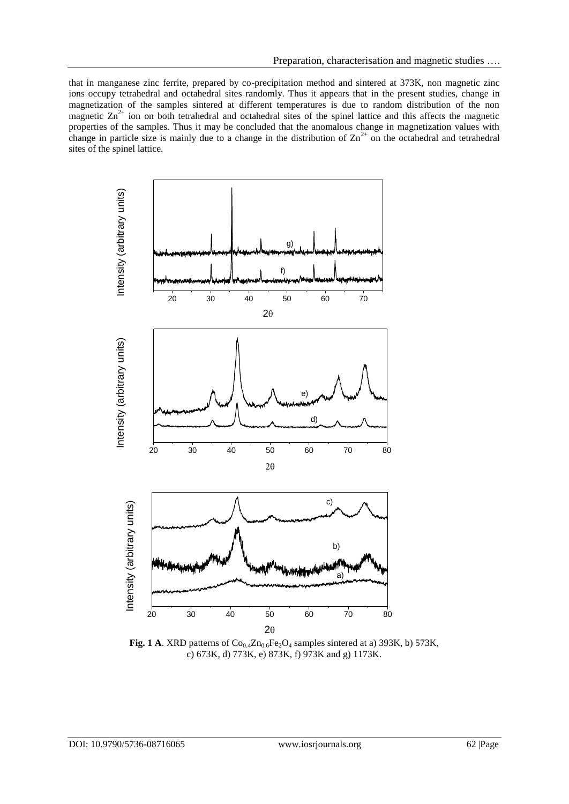that in manganese zinc ferrite, prepared by co-precipitation method and sintered at 373K, non magnetic zinc ions occupy tetrahedral and octahedral sites randomly. Thus it appears that in the present studies, change in magnetization of the samples sintered at different temperatures is due to random distribution of the non magnetic  $\text{Zn}^{2+}$  ion on both tetrahedral and octahedral sites of the spinel lattice and this affects the magnetic properties of the samples. Thus it may be concluded that the anomalous change in magnetization values with change in particle size is mainly due to a change in the distribution of  $Zn^{2+}$  on the octahedral and tetrahedral sites of the spinel lattice.



Fig. 1 A. XRD patterns of  $Co_{0.4}Zn_{0.6}Fe_2O_4$  samples sintered at a) 393K, b) 573K, c) 673K, d) 773K, e) 873K, f) 973K and g) 1173K.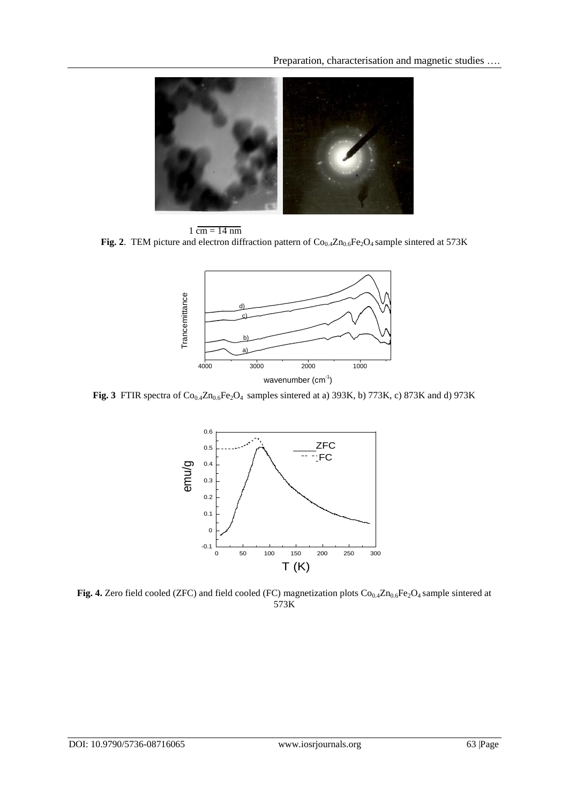Preparation, characterisation and magnetic studies ….



 $1 \overline{\text{cm} = 14 \text{ nm}}$ **Fig. 2**. TEM picture and electron diffraction pattern of  $Co_{0.4}Zn_{0.6}Fe_2O_4$  sample sintered at 573K



Fig. 3 FTIR spectra of  $Co_{0.4}Zn_{0.6}Fe_2O_4$  samples sintered at a) 393K, b) 773K, c) 873K and d) 973K



Fig. 4. Zero field cooled (ZFC) and field cooled (FC) magnetization plots  $Co_{0.4}Zn_{0.6}Fe_2O_4$  sample sintered at 573K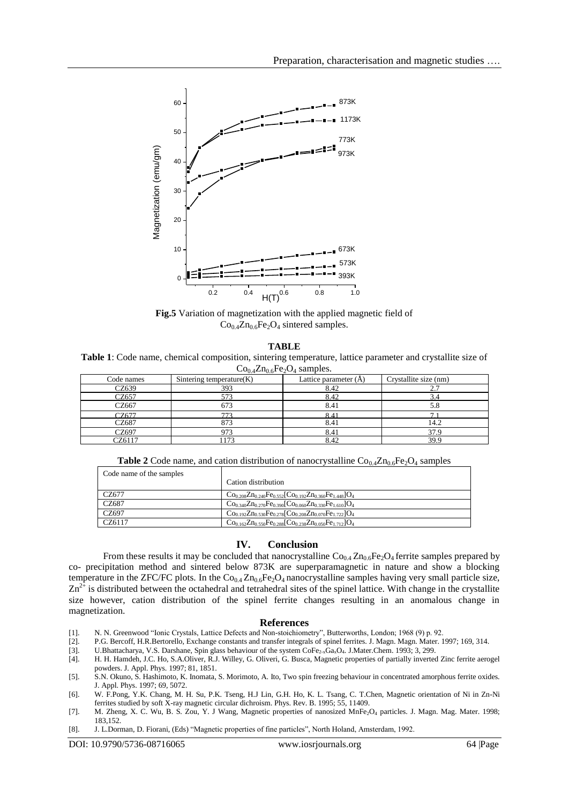

**Fig.5** Variation of magnetization with the applied magnetic field of  $Co<sub>0.4</sub>Zn<sub>0.6</sub>Fe<sub>2</sub>O<sub>4</sub> sintered samples.$ 

**TABLE**

**Table 1**: Code name, chemical composition, sintering temperature, lattice parameter and crystallite size of  $Co<sub>0.4</sub>Zn<sub>0.6</sub>Fe<sub>2</sub>O<sub>4</sub> samples.$ 

| Code names | Sintering temperature $(K)$ | Lattice parameter $(A)$ | Crystallite size (nm) |
|------------|-----------------------------|-------------------------|-----------------------|
| CZ639      | 393                         | 8.42                    |                       |
| CZ657      | 573                         | 8.42                    | ້                     |
| CZ667      | 673                         | 8.41                    | 5.8                   |
| CZ677      | 773                         | 84                      |                       |
| CZ687      | 873                         | 8.41                    | 14.2                  |
| CZ697      | 973                         | 8.41                    | 37.9                  |
| CZ6117     | 172                         | 8.42                    | 39.9                  |

**Table 2** Code name, and cation distribution of nanocrystalline  $\text{Co}_{0.4}\text{Zn}_{0.6}\text{Fe}_{2}\text{O}_{4}$  samples

| Code name of the samples | Cation distribution                                                                                           |
|--------------------------|---------------------------------------------------------------------------------------------------------------|
|                          |                                                                                                               |
| CZ677                    | $Co0.208Zn0.240Fe0.552[Co0.192Zn0.360Fe1.448]O4$                                                              |
| CZ687                    | $Co_{0.340}Zn_{0.270}Fe_{0.390}$ [Co <sub>0.060</sub> Zn <sub>0.330</sub> Fe <sub>1.610</sub> ]O <sub>4</sub> |
| CZ697                    | $Co0.192Zn0.530Fe0.278[Co0.208Zn0.070Fe1.722]O4$                                                              |
| CZ6117                   | $Co0.162Zn0.550Fe0.288[Co0.238Zn0.050Fe1.712]O4$                                                              |

## **IV. Conclusion**

From these results it may be concluded that nanocrystalline  $Co_{0.4}Zn_{0.6}Fe_{2}O_{4}$  ferrite samples prepared by co- precipitation method and sintered below 873K are superparamagnetic in nature and show a blocking temperature in the ZFC/FC plots. In the  $Co_{0.4}Zn_{0.6}Fe_2O_4$  nanocrystalline samples having very small particle size,  $Zn^{2+}$  is distributed between the octahedral and tetrahedral sites of the spinel lattice. With change in the crystallite size however, cation distribution of the spinel ferrite changes resulting in an anomalous change in magnetization.

#### **References**

- [1]. N. N. Greenwood "Ionic Crystals, Lattice Defects and Non-stoichiometry", Butterworths, London; 1968 (9) p. 92.
- [2]. P.G. Bercoff, H.R.Bertorello, Exchange constants and transfer integrals of spinel ferrites. J. Magn. Magn. Mater. 1997; 169, 314.
- [3]. U.Bhattacharya, V.S. Darshane, Spin glass behaviour of the system CoFe<sub>2-x</sub>Ga<sub>x</sub>O<sub>4</sub>. J.Mater.Chem. 1993; 3, 299.
- [4]. H. H. Hamdeh, J.C. Ho, S.A.Oliver, R.J. Willey, G. Oliveri, G. Busca, Magnetic properties of partially inverted Zinc ferrite aerogel powders. J. Appl. Phys. 1997; 81, 1851.
- [5]. S.N. Okuno, S. Hashimoto, K. Inomata, S. Morimoto, A. Ito, Two spin freezing behaviour in concentrated amorphous ferrite oxides. J. Appl. Phys. 1997; 69, 5072.
- [6]. W. F.Pong, Y.K. Chang, M. H. Su, P.K. Tseng, H.J Lin, G.H. Ho, K. L. Tsang, C. T.Chen, Magnetic orientation of Ni in Zn-Ni ferrites studied by soft X-ray magnetic circular dichroism. Phys. Rev. B. 1995; 55, 11409.
- [7]. M. Zheng, X. C. Wu, B. S. Zou, Y. J Wang, Magnetic properties of nanosized MnFe<sub>2</sub>O<sub>4</sub> particles. J. Magn. Mag. Mater. 1998; 183,152.
- [8]. J. L.Dorman, D. Fiorani, (Eds) "Magnetic properties of fine particles", North Holand, Amsterdam, 1992.